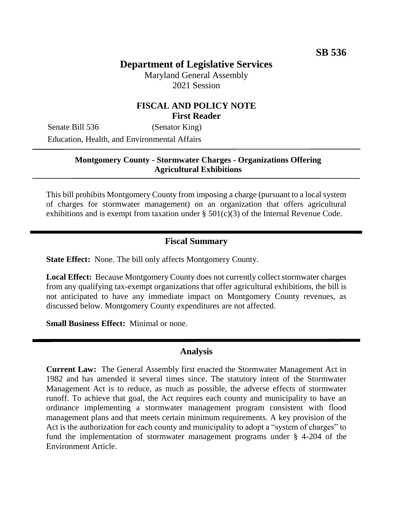# **Department of Legislative Services**

Maryland General Assembly 2021 Session

# **FISCAL AND POLICY NOTE First Reader**

Senate Bill 536 (Senator King) Education, Health, and Environmental Affairs

#### **Montgomery County - Stormwater Charges - Organizations Offering Agricultural Exhibitions**

This bill prohibits Montgomery County from imposing a charge (pursuant to a local system of charges for stormwater management) on an organization that offers agricultural exhibitions and is exempt from taxation under  $\S$  501(c)(3) of the Internal Revenue Code.

# **Fiscal Summary**

**State Effect:** None. The bill only affects Montgomery County.

**Local Effect:** Because Montgomery County does not currently collect stormwater charges from any qualifying tax-exempt organizations that offer agricultural exhibitions, the bill is not anticipated to have any immediate impact on Montgomery County revenues, as discussed below. Montgomery County expenditures are not affected.

**Small Business Effect:** Minimal or none.

### **Analysis**

**Current Law:** The General Assembly first enacted the Stormwater Management Act in 1982 and has amended it several times since. The statutory intent of the Stormwater Management Act is to reduce, as much as possible, the adverse effects of stormwater runoff. To achieve that goal, the Act requires each county and municipality to have an ordinance implementing a stormwater management program consistent with flood management plans and that meets certain minimum requirements. A key provision of the Act is the authorization for each county and municipality to adopt a "system of charges" to fund the implementation of stormwater management programs under § 4-204 of the Environment Article.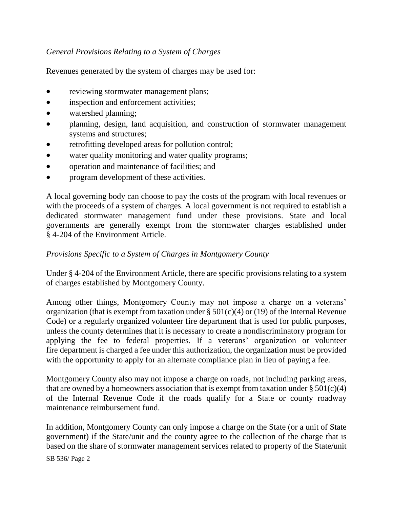# *General Provisions Relating to a System of Charges*

Revenues generated by the system of charges may be used for:

- reviewing stormwater management plans;
- inspection and enforcement activities;
- watershed planning;
- planning, design, land acquisition, and construction of stormwater management systems and structures;
- retrofitting developed areas for pollution control;
- water quality monitoring and water quality programs;
- operation and maintenance of facilities; and
- program development of these activities.

A local governing body can choose to pay the costs of the program with local revenues or with the proceeds of a system of charges. A local government is not required to establish a dedicated stormwater management fund under these provisions. State and local governments are generally exempt from the stormwater charges established under § 4-204 of the Environment Article.

# *Provisions Specific to a System of Charges in Montgomery County*

Under § 4-204 of the Environment Article, there are specific provisions relating to a system of charges established by Montgomery County.

Among other things, Montgomery County may not impose a charge on a veterans' organization (that is exempt from taxation under §  $501(c)(4)$  or (19) of the Internal Revenue Code) or a regularly organized volunteer fire department that is used for public purposes, unless the county determines that it is necessary to create a nondiscriminatory program for applying the fee to federal properties. If a veterans' organization or volunteer fire department is charged a fee under this authorization, the organization must be provided with the opportunity to apply for an alternate compliance plan in lieu of paying a fee.

Montgomery County also may not impose a charge on roads, not including parking areas, that are owned by a homeowners association that is exempt from taxation under  $\S 501(c)(4)$ of the Internal Revenue Code if the roads qualify for a State or county roadway maintenance reimbursement fund.

In addition, Montgomery County can only impose a charge on the State (or a unit of State government) if the State/unit and the county agree to the collection of the charge that is based on the share of stormwater management services related to property of the State/unit

SB 536/ Page 2